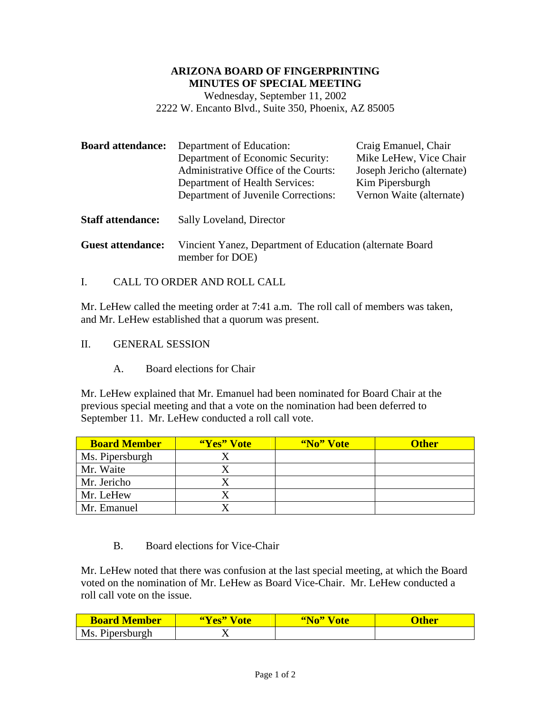## **ARIZONA BOARD OF FINGERPRINTING MINUTES OF SPECIAL MEETING**  Wednesday, September 11, 2002

2222 W. Encanto Blvd., Suite 350, Phoenix, AZ 85005

| <b>Board attendance:</b> | Department of Education:                                                     | Craig Emanuel, Chair       |  |
|--------------------------|------------------------------------------------------------------------------|----------------------------|--|
|                          | Department of Economic Security:                                             | Mike LeHew, Vice Chair     |  |
|                          | Administrative Office of the Courts:                                         | Joseph Jericho (alternate) |  |
|                          | Department of Health Services:                                               | Kim Pipersburgh            |  |
|                          | Department of Juvenile Corrections:                                          | Vernon Waite (alternate)   |  |
| <b>Staff attendance:</b> | Sally Loveland, Director                                                     |                            |  |
| <b>Guest attendance:</b> | Vincient Yanez, Department of Education (alternate Board)<br>member for DOE) |                            |  |

I. CALL TO ORDER AND ROLL CALL

Mr. LeHew called the meeting order at 7:41 a.m. The roll call of members was taken, and Mr. LeHew established that a quorum was present.

II. GENERAL SESSION

A. Board elections for Chair

Mr. LeHew explained that Mr. Emanuel had been nominated for Board Chair at the previous special meeting and that a vote on the nomination had been deferred to September 11. Mr. LeHew conducted a roll call vote.

| <b>Board Member</b> | "Yes" Vote | "No" Vote | <b>Other</b> |
|---------------------|------------|-----------|--------------|
| Ms. Pipersburgh     |            |           |              |
| Mr. Waite           |            |           |              |
| Mr. Jericho         |            |           |              |
| Mr. LeHew           |            |           |              |
| Mr. Emanuel         |            |           |              |

## B. Board elections for Vice-Chair

Mr. LeHew noted that there was confusion at the last special meeting, at which the Board voted on the nomination of Mr. LeHew as Board Vice-Chair. Mr. LeHew conducted a roll call vote on the issue.

| <b>Board Member</b> | "Yes<br>Vote | "No<br>'ote' | <b>)ther</b> |
|---------------------|--------------|--------------|--------------|
| Ms. Pipersburgh     | . .          |              |              |